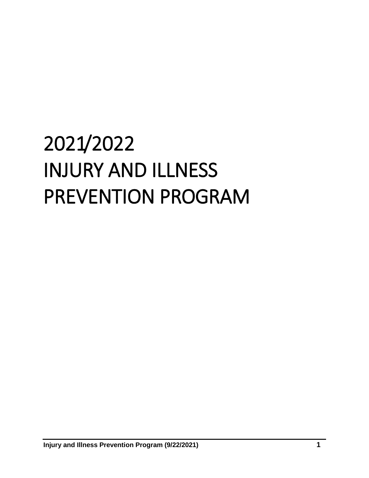# 2021/2022 INJURY AND ILLNESS PREVENTION PROGRAM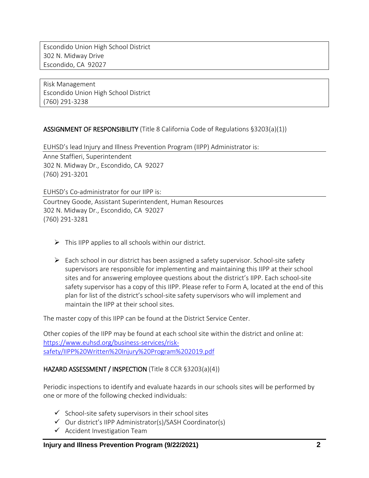Escondido Union High School District 302 N. Midway Drive Escondido, CA 92027

Risk Management Escondido Union High School District (760) 291-3238

#### ASSIGNMENT OF RESPONSIBILITY (Title 8 California Code of Regulations §3203(a)(1))

EUHSD's lead Injury and Illness Prevention Program (IIPP) Administrator is: Anne Staffieri, Superintendent 302 N. Midway Dr., Escondido, CA 92027 (760) 291-3201

EUHSD's Co-administrator for our IIPP is:

Courtney Goode, Assistant Superintendent, Human Resources 302 N. Midway Dr., Escondido, CA 92027 (760) 291-3281

- $\triangleright$  This IIPP applies to all schools within our district.
- $\triangleright$  Each school in our district has been assigned a safety supervisor. School-site safety supervisors are responsible for implementing and maintaining this IIPP at their school sites and for answering employee questions about the district's IIPP. Each school-site safety supervisor has a copy of this IIPP. Please refer to Form A, located at the end of this plan for list of the district's school-site safety supervisors who will implement and maintain the IIPP at their school sites.

The master copy of this IIPP can be found at the District Service Center.

Other copies of the IIPP may be found at each school site within the district and online at: [https://www.euhsd.org/business-services/risk](https://www.euhsd.org/business-services/risk-safety/IIPP%20Written%20Injury%20Program%202019.pdf)[safety/IIPP%20Written%20Injury%20Program%202019.pdf](https://www.euhsd.org/business-services/risk-safety/IIPP%20Written%20Injury%20Program%202019.pdf)

#### HAZARD ASSESSMENT / INSPECTION (Title 8 CCR §3203(a)(4))

Periodic inspections to identify and evaluate hazards in our schools sites will be performed by one or more of the following checked individuals:

- $\checkmark$  School-site safety supervisors in their school sites
- $\checkmark$  Our district's IIPP Administrator(s)/SASH Coordinator(s)
- $\checkmark$  Accident Investigation Team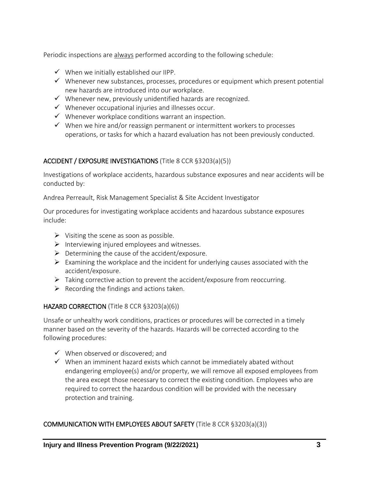Periodic inspections are always performed according to the following schedule:

- $\checkmark$  When we initially established our IIPP.
- $\checkmark$  Whenever new substances, processes, procedures or equipment which present potential new hazards are introduced into our workplace.
- $\checkmark$  Whenever new, previously unidentified hazards are recognized.
- $\checkmark$  Whenever occupational injuries and illnesses occur.
- $\checkmark$  Whenever workplace conditions warrant an inspection.
- $\checkmark$  When we hire and/or reassign permanent or intermittent workers to processes operations, or tasks for which a hazard evaluation has not been previously conducted.

#### ACCIDENT / EXPOSURE INVESTIGATIONS (Title 8 CCR §3203(a)(5))

Investigations of workplace accidents, hazardous substance exposures and near accidents will be conducted by:

Andrea Perreault, Risk Management Specialist & Site Accident Investigator

Our procedures for investigating workplace accidents and hazardous substance exposures include:

- $\triangleright$  Visiting the scene as soon as possible.
- $\triangleright$  Interviewing injured employees and witnesses.
- $\triangleright$  Determining the cause of the accident/exposure.
- $\triangleright$  Examining the workplace and the incident for underlying causes associated with the accident/exposure.
- $\triangleright$  Taking corrective action to prevent the accident/exposure from reoccurring.
- $\triangleright$  Recording the findings and actions taken.

#### HAZARD CORRECTION (Title 8 CCR §3203(a)(6))

Unsafe or unhealthy work conditions, practices or procedures will be corrected in a timely manner based on the severity of the hazards. Hazards will be corrected according to the following procedures:

- $\checkmark$  When observed or discovered; and
- $\checkmark$  When an imminent hazard exists which cannot be immediately abated without endangering employee(s) and/or property, we will remove all exposed employees from the area except those necessary to correct the existing condition. Employees who are required to correct the hazardous condition will be provided with the necessary protection and training.

#### COMMUNICATION WITH EMPLOYEES ABOUT SAFETY (Title 8 CCR §3203(a)(3))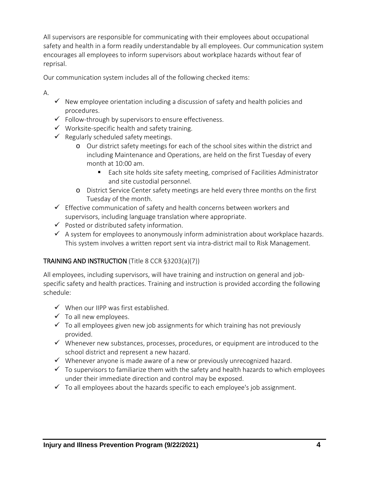All supervisors are responsible for communicating with their employees about occupational safety and health in a form readily understandable by all employees. Our communication system encourages all employees to inform supervisors about workplace hazards without fear of reprisal.

Our communication system includes all of the following checked items:

A.

- $\checkmark$  New employee orientation including a discussion of safety and health policies and procedures.
- $\checkmark$  Follow-through by supervisors to ensure effectiveness.
- $\checkmark$  Worksite-specific health and safety training.
- $\checkmark$  Regularly scheduled safety meetings.
	- o Our district safety meetings for each of the school sites within the district and including Maintenance and Operations, are held on the first Tuesday of every month at 10:00 am.
		- Each site holds site safety meeting, comprised of Facilities Administrator and site custodial personnel.
	- o District Service Center safety meetings are held every three months on the first Tuesday of the month.
- $\checkmark$  Effective communication of safety and health concerns between workers and supervisors, including language translation where appropriate.
- $\checkmark$  Posted or distributed safety information.
- $\checkmark$  A system for employees to anonymously inform administration about workplace hazards. This system involves a written report sent via intra-district mail to Risk Management.

#### TRAINING AND INSTRUCTION (Title 8 CCR §3203(a)(7))

All employees, including supervisors, will have training and instruction on general and jobspecific safety and health practices. Training and instruction is provided according the following schedule:

- $\checkmark$  When our IIPP was first established.
- $\checkmark$  To all new employees.
- $\checkmark$  To all employees given new job assignments for which training has not previously provided.
- $\checkmark$  Whenever new substances, processes, procedures, or equipment are introduced to the school district and represent a new hazard.
- $\checkmark$  Whenever anyone is made aware of a new or previously unrecognized hazard.
- $\checkmark$  To supervisors to familiarize them with the safety and health hazards to which employees under their immediate direction and control may be exposed.
- $\checkmark$  To all employees about the hazards specific to each employee's job assignment.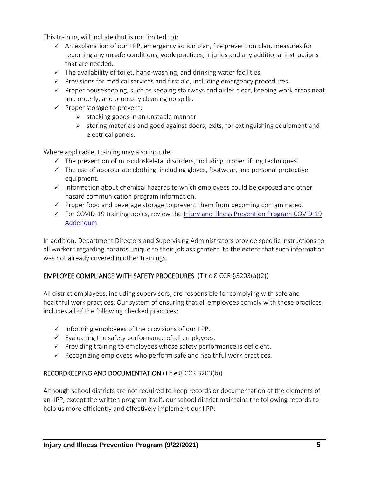This training will include (but is not limited to):

- $\checkmark$  An explanation of our IIPP, emergency action plan, fire prevention plan, measures for reporting any unsafe conditions, work practices, injuries and any additional instructions that are needed.
- $\checkmark$  The availability of toilet, hand-washing, and drinking water facilities.
- $\checkmark$  Provisions for medical services and first aid, including emergency procedures.
- $\checkmark$  Proper housekeeping, such as keeping stairways and aisles clear, keeping work areas neat and orderly, and promptly cleaning up spills.
- $\checkmark$  Proper storage to prevent:
	- $\triangleright$  stacking goods in an unstable manner
	- $\triangleright$  storing materials and good against doors, exits, for extinguishing equipment and electrical panels.

Where applicable, training may also include:

- $\checkmark$  The prevention of musculoskeletal disorders, including proper lifting techniques.
- $\checkmark$  The use of appropriate clothing, including gloves, footwear, and personal protective equipment.
- $\checkmark$  Information about chemical hazards to which employees could be exposed and other hazard communication program information.
- $\checkmark$  Proper food and beverage storage to prevent them from becoming contaminated.
- $\checkmark$  For COVID-19 training topics, review the Injury and Illness Prevention Program COVID-19 [Addendum.](#page-5-0)

In addition, Department Directors and Supervising Administrators provide specific instructions to all workers regarding hazards unique to their job assignment, to the extent that such information was not already covered in other trainings.

#### EMPLOYEE COMPLIANCE WIT[H SAFETY PROCEDURES](http://www.dir.ca.gov/dosh/dosh_publications/IIPP.html#10) (Title 8 CCR §3203(a)(2))

All district employees, including supervisors, are responsible for complying with safe and healthful work practices. Our system of ensuring that all employees comply with these practices includes all of the following checked practices:

- $\checkmark$  Informing employees of the provisions of our IIPP.
- $\checkmark$  Evaluating the safety performance of all employees.
- $\checkmark$  Providing training to employees whose safety performance is deficient.
- $\checkmark$  Recognizing employees who perform safe and healthful work practices.

#### RECORDKEEPING AND DOCUMENTATION (Title 8 CCR 3203(b))

Although school districts are not required to keep records or documentation of the elements of an IIPP, except the written program itself, our school district maintains the following records to help us more efficiently and effectively implement our IIPP: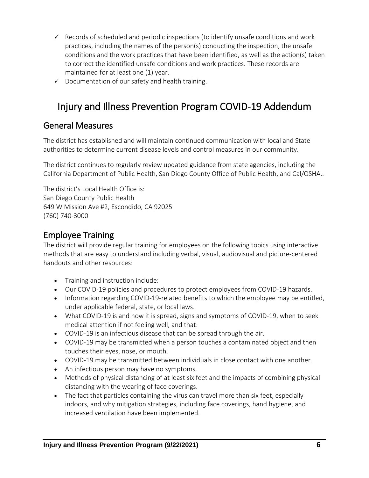- $\checkmark$  Records of scheduled and periodic inspections (to identify unsafe conditions and work practices, including the names of the person(s) conducting the inspection, the unsafe conditions and the work practices that have been identified, as well as the action(s) taken to correct the identified unsafe conditions and work practices. These records are maintained for at least one (1) year.
- $\checkmark$  Documentation of our safety and health training.

# <span id="page-5-0"></span>Injury and Illness Prevention Program COVID-19 Addendum

### General Measures

The district has established and will maintain continued communication with local and State authorities to determine current disease levels and control measures in our community.

The district continues to regularly review updated guidance from state agencies, including the California Department of Public Health, San Diego County Office of Public Health, and Cal/OSHA..

The district's Local Health Office is: San Diego County Public Health 649 W Mission Ave #2, Escondido, CA 92025 (760) 740-3000

**Employee Training**<br>The district will provide regular training for employees on the following topics using interactive methods that are easy to understand including verbal, visual, audiovisual and picture-centered handouts and other resources:

- Training and instruction include:
- Our COVID-19 policies and procedures to protect employees from COVID-19 hazards.
- Information regarding COVID-19-related benefits to which the employee may be entitled, under applicable federal, state, or local laws.
- What COVID-19 is and how it is spread, signs and symptoms of COVID-19, when to seek medical attention if not feeling well, and that:
- COVID-19 is an infectious disease that can be spread through the air.
- COVID-19 may be transmitted when a person touches a contaminated object and then touches their eyes, nose, or mouth.
- COVID-19 may be transmitted between individuals in close contact with one another.
- An infectious person may have no symptoms.
- Methods of physical distancing of at least six feet and the impacts of combining physical distancing with the wearing of face coverings.
- The fact that particles containing the virus can travel more than six feet, especially indoors, and why mitigation strategies, including face coverings, hand hygiene, and increased ventilation have been implemented.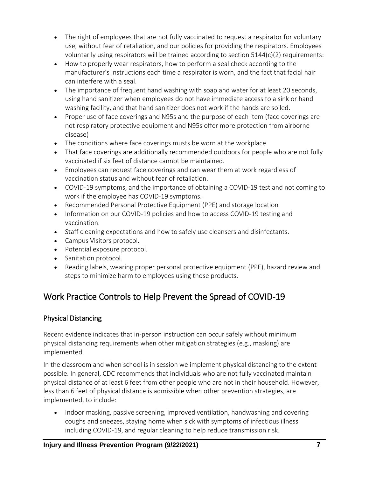- The right of employees that are not fully vaccinated to request a respirator for voluntary use, without fear of retaliation, and our policies for providing the respirators. Employees voluntarily using respirators will be trained according to section  $5144(c)(2)$  requirements:
- How to properly wear respirators, how to perform a seal check according to the manufacturer's instructions each time a respirator is worn, and the fact that facial hair can interfere with a seal.
- The importance of frequent hand washing with soap and water for at least 20 seconds, using hand sanitizer when employees do not have immediate access to a sink or hand washing facility, and that hand sanitizer does not work if the hands are soiled.
- Proper use of face coverings and N95s and the purpose of each item (face coverings are not respiratory protective equipment and N95s offer more protection from airborne disease)
- The conditions where face coverings musts be worn at the workplace.
- That face coverings are additionally recommended outdoors for people who are not fully vaccinated if six feet of distance cannot be maintained.
- Employees can request face coverings and can wear them at work regardless of vaccination status and without fear of retaliation.
- COVID-19 symptoms, and the importance of obtaining a COVID-19 test and not coming to work if the employee has COVID-19 symptoms.
- Recommended Personal Protective Equipment (PPE) and storage location
- Information on our COVID-19 policies and how to access COVID-19 testing and vaccination.
- Staff cleaning expectations and how to safely use cleansers and disinfectants.
- Campus Visitors protocol.
- Potential exposure protocol.
- Sanitation protocol.
- Reading labels, wearing proper personal protective equipment (PPE), hazard review and steps to minimize harm to employees using those products.

## Work Practice Controls to Help Prevent the Spread of COVID-19

### Physical Distancing

Recent evidence indicates that in-person instruction can occur safely without minimum physical distancing requirements when other mitigation strategies (e.g., masking) are implemented.

In the classroom and when school is in session we implement physical distancing to the extent possible. In general, CDC recommends that individuals who are not fully vaccinated maintain physical distance of at least 6 feet from other people who are not in their household. However, less than 6 feet of physical distance is admissible when other prevention strategies, are implemented, to include:

• Indoor masking, passive screening, improved ventilation, handwashing and covering coughs and sneezes, staying home when sick with symptoms of infectious illness including COVID-19, and regular cleaning to help reduce transmission risk.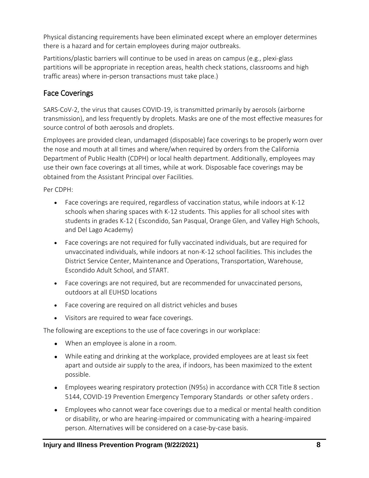Physical distancing requirements have been eliminated except where an employer determines there is a hazard and for certain employees during major outbreaks.

Partitions/plastic barriers will continue to be used in areas on campus (e.g., plexi-glass partitions will be appropriate in reception areas, health check stations, classrooms and high traffic areas) where in-person transactions must take place.)

#### Face Coverings

SARS-CoV-2, the virus that causes COVID-19, is transmitted primarily by aerosols (airborne transmission), and less frequently by droplets. Masks are one of the most effective measures for source control of both aerosols and droplets.

Employees are provided clean, undamaged (disposable) face coverings to be properly worn over the nose and mouth at all times and where/when required by orders from the California Department of Public Health (CDPH) or local health department. Additionally, employees may use their own face coverings at all times, while at work. Disposable face coverings may be obtained from the Assistant Principal over Facilities.

Per CDPH:

- Face coverings are required, regardless of vaccination status, while indoors at K-12 schools when sharing spaces with K-12 students. This applies for all school sites with students in grades K-12 ( Escondido, San Pasqual, Orange Glen, and Valley High Schools, and Del Lago Academy)
- Face coverings are not required for fully vaccinated individuals, but are required for unvaccinated individuals, while indoors at non-K-12 school facilities. This includes the District Service Center, Maintenance and Operations, Transportation, Warehouse, Escondido Adult School, and START.
- Face coverings are not required, but are recommended for unvaccinated persons, outdoors at all EUHSD locations
- Face covering are required on all district vehicles and buses
- Visitors are required to wear face coverings.

The following are exceptions to the use of face coverings in our workplace:

- When an employee is alone in a room.
- While eating and drinking at the workplace, provided employees are at least six feet apart and outside air supply to the area, if indoors, has been maximized to the extent possible.
- Employees wearing respiratory protection (N95s) in accordance with CCR Title 8 section 5144, COVID-19 Prevention Emergency Temporary Standards or other safety orders .
- Employees who cannot wear face coverings due to a medical or mental health condition or disability, or who are hearing-impaired or communicating with a hearing-impaired person. Alternatives will be considered on a case-by-case basis.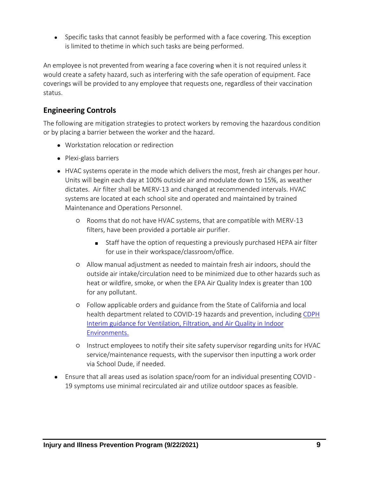• Specific tasks that cannot feasibly be performed with a face covering. This exception is limited to thetime in which such tasks are being performed.

An employee is not prevented from wearing a face covering when it is not required unless it would create a safety hazard, such as interfering with the safe operation of equipment. Face coverings will be provided to any employee that requests one, regardless of their vaccination status.

#### **Engineering Controls**

The following are mitigation strategies to protect workers by removing the hazardous condition or by placing a barrier between the worker and the hazard.

- Workstation relocation or redirection
- Plexi-glass barriers
- HVAC systems operate in the mode which delivers the most, fresh air changes per hour. Units will begin each day at 100% outside air and modulate down to 15%, as weather dictates. Air filter shall be MERV-13 and changed at recommended intervals. HVAC systems are located at each school site and operated and maintained by trained Maintenance and Operations Personnel.
	- Rooms that do not have HVAC systems, that are compatible with MERV-13 filters, have been provided a portable air purifier.
		- Staff have the option of requesting a previously purchased HEPA air filter for use in their workspace/classroom/office.
	- Allow manual adjustment as needed to maintain fresh air indoors, should the outside air intake/circulation need to be minimized due to other hazards such as heat or wildfire, smoke, or when the EPA Air Quality Index is greater than 100 for any pollutant.
	- Follow applicable orders and guidance from the State of California and local health department related to COVID-19 hazards and prevention, including [CDPH](https://www.cdph.ca.gov/Programs/CID/DCDC/Pages/COVID-19/Interim-Guidance-for-Ventilation-Filtration-and-Air-Quality-in-Indoor-Environments.aspx)  [Interim guidance for Ventilation, Filtration, and Air Quality in Indoor](https://www.cdph.ca.gov/Programs/CID/DCDC/Pages/COVID-19/Interim-Guidance-for-Ventilation-Filtration-and-Air-Quality-in-Indoor-Environments.aspx)  [Environments.](https://www.cdph.ca.gov/Programs/CID/DCDC/Pages/COVID-19/Interim-Guidance-for-Ventilation-Filtration-and-Air-Quality-in-Indoor-Environments.aspx)
	- Instruct employees to notify their site safety supervisor regarding units for HVAC service/maintenance requests, with the supervisor then inputting a work order via School Dude, if needed.
- Ensure that all areas used as isolation space/room for an individual presenting COVID 19 symptoms use minimal recirculated air and utilize outdoor spaces as feasible.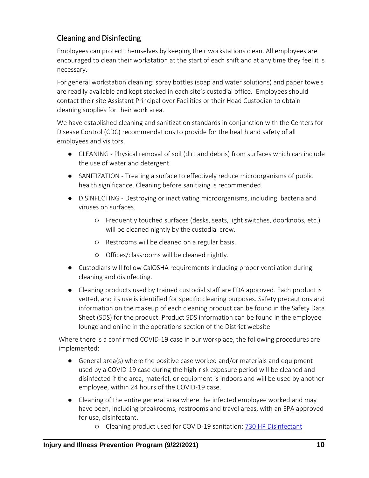### Cleaning and Disinfecting

Employees can protect themselves by keeping their workstations clean. All employees are encouraged to clean their workstation at the start of each shift and at any time they feel it is necessary.

For general workstation cleaning: spray bottles (soap and water solutions) and paper towels are readily available and kept stocked in each site's custodial office. Employees should contact their site Assistant Principal over Facilities or their Head Custodian to obtain cleaning supplies for their work area.

We have established cleaning and sanitization standards in conjunction with the Centers for Disease Control (CDC) recommendations to provide for the health and safety of all employees and visitors.

- CLEANING Physical removal of soil (dirt and debris) from surfaces which can include the use of water and detergent.
- SANITIZATION Treating a surface to effectively reduce microorganisms of public health significance. Cleaning before sanitizing is recommended.
- DISINFECTING Destroying or inactivating microorganisms, including bacteria and viruses on surfaces.
	- Frequently touched surfaces (desks, seats, light switches, doorknobs, etc.) will be cleaned nightly by the custodial crew.
	- Restrooms will be cleaned on a regular basis.
	- Offices/classrooms will be cleaned nightly.
- Custodians will follow CalOSHA requirements including proper ventilation during cleaning and disinfecting.
- Cleaning products used by trained custodial staff are FDA approved. Each product is vetted, and its use is identified for specific cleaning purposes. Safety precautions and information on the makeup of each cleaning product can be found in the Safety Data Sheet (SDS) for the product. Product SDS information can be found in the employee lounge and online in the operations section of the District website

Where there is a confirmed COVID-19 case in our workplace, the following procedures are implemented:

- General area(s) where the positive case worked and/or materials and equipment used by a COVID-19 case during the high-risk exposure period will be cleaned and disinfected if the area, material, or equipment is indoors and will be used by another employee, within 24 hours of the COVID-19 case.
- Cleaning of the entire general area where the infected employee worked and may have been, including breakrooms, restrooms and travel areas, with an EPA approved for use, disinfectant.
	- Cleaning product used for COVID-19 sanitation: [730 HP Disinfectant](https://www.euhsd.org/business-services/mot/sds/custodial/SDS%20Waxie%20730.pdf)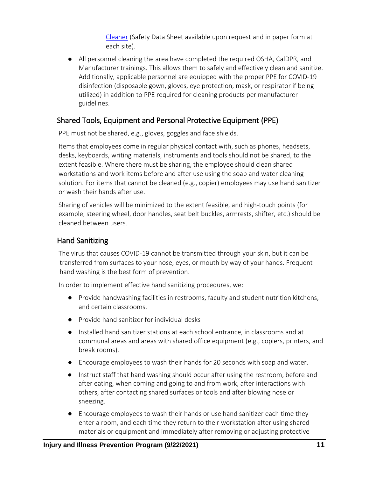[Cleaner](https://www.euhsd.org/business-services/mot/sds/custodial/SDS%20Waxie%20730.pdf) (Safety Data Sheet available upon request and in paper form at each site).

● All personnel cleaning the area have completed the required OSHA, CalDPR, and Manufacturer trainings. This allows them to safely and effectively clean and sanitize. Additionally, applicable personnel are equipped with the proper PPE for COVID-19 disinfection (disposable gown, gloves, eye protection, mask, or respirator if being utilized) in addition to PPE required for cleaning products per manufacturer guidelines.

#### Shared Tools, Equipment and Personal Protective Equipment (PPE)

PPE must not be shared, e.g., gloves, goggles and face shields.

Items that employees come in regular physical contact with, such as phones, headsets, desks, keyboards, writing materials, instruments and tools should not be shared, to the extent feasible. Where there must be sharing, the employee should clean shared workstations and work items before and after use using the soap and water cleaning solution. For items that cannot be cleaned (e.g., copier) employees may use hand sanitizer or wash their hands after use.

Sharing of vehicles will be minimized to the extent feasible, and high-touch points (for example, steering wheel, door handles, seat belt buckles, armrests, shifter, etc.) should be cleaned between users.

#### Hand Sanitizing

The virus that causes COVID-19 cannot be transmitted through your skin, but it can be transferred from surfaces to your nose, eyes, or mouth by way of your hands. Frequent hand washing is the best form of prevention.

In order to implement effective hand sanitizing procedures, we:

- Provide handwashing facilities in restrooms, faculty and student nutrition kitchens, and certain classrooms.
- Provide hand sanitizer for individual desks
- Installed hand sanitizer stations at each school entrance, in classrooms and at communal areas and areas with shared office equipment (e.g., copiers, printers, and break rooms).
- Encourage employees to wash their hands for 20 seconds with soap and water.
- Instruct staff that hand washing should occur after using the restroom, before and after eating, when coming and going to and from work, after interactions with others, after contacting shared surfaces or tools and after blowing nose or sneezing.
- Encourage employees to wash their hands or use hand sanitizer each time they enter a room, and each time they return to their workstation after using shared materials or equipment and immediately after removing or adjusting protective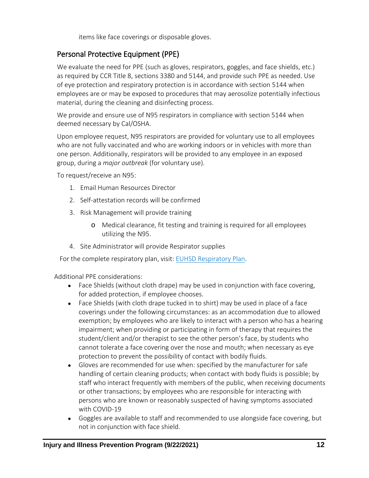items like face coverings or disposable gloves.

#### Personal Protective Equipment (PPE)

We evaluate the need for PPE (such as gloves, respirators, goggles, and face shields, etc.) as required by CCR Title 8, sections 3380 and 5144, and provide such PPE as needed. Use of eye protection and respiratory protection is in accordance with section 5144 when employees are or may be exposed to procedures that may aerosolize potentially infectious material, during the cleaning and disinfecting process.

We provide and ensure use of N95 respirators in compliance with section 5144 when deemed necessary by Cal/OSHA.

Upon employee request, N95 respirators are provided for voluntary use to all employees who are not fully vaccinated and who are working indoors or in vehicles with more than one person. Additionally, respirators will be provided to any employee in an exposed group, during a *major outbreak* (for voluntary use).

To request/receive an N95:

- 1. Email Human Resources Director
- 2. Self-attestation records will be confirmed
- 3. Risk Management will provide training
	- o Medical clearance, fit testing and training is required for all employees utilizing the N95.
- 4. Site Administrator will provide Respirator supplies

For the complete respiratory plan, visit: [EUHSD Respiratory Plan.](https://www.euhsd.org/business-services/risk-safety/2020-21/EUHSD%20Repiratory%20Plan.pdf)

Additional PPE considerations:

- Face Shields (without cloth drape) may be used in conjunction with face covering, for added protection, if employee chooses.
- Face Shields (with cloth drape tucked in to shirt) may be used in place of a face coverings under the following circumstances: as an accommodation due to allowed exemption; by employees who are likely to interact with a person who has a hearing impairment; when providing or participating in form of therapy that requires the student/client and/or therapist to see the other person's face, by students who cannot tolerate a face covering over the nose and mouth; when necessary as eye protection to prevent the possibility of contact with bodily fluids.
- Gloves are recommended for use when: specified by the manufacturer for safe handling of certain cleaning products; when contact with body fluids is possible; by staff who interact frequently with members of the public, when receiving documents or other transactions; by employees who are responsible for interacting with persons who are known or reasonably suspected of having symptoms associated with COVID-19
- Goggles are available to staff and recommended to use alongside face covering, but not in conjunction with face shield.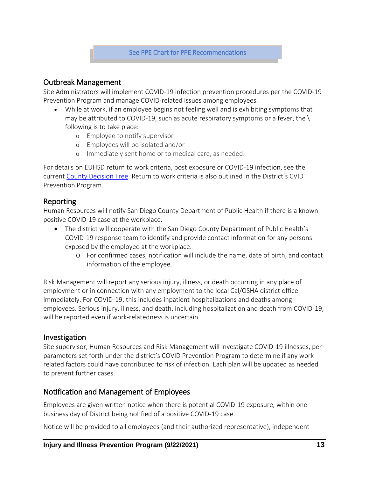#### Outbreak Management

Site Administrators will implement COVID-19 infection prevention procedures per the COVID-19 Prevention Program and manage COVID-related issues among employees.

- While at work, if an employee begins not feeling well and is exhibiting symptoms that may be attributed to COVID-19, such as acute respiratory symptoms or a fever, the  $\setminus$ following is to take place:
	- o Employee to notify supervisor
	- o Employees will be isolated and/or
	- o Immediately sent home or to medical care, as needed.

For details on EUHSD return to work criteria, post exposure or COVID-19 infection, see the current [County Decision Tree.](https://covid-19.sdcoe.net/Portals/covid-19/Documents/Health%20Practices/COVID-19-Decision-Tree.pdf?updated=090321) Return to work criteria is also outlined in the District's CVID Prevention Program.

#### Reporting

Human Resources will notify San Diego County Department of Public Health if there is a known positive COVID-19 case at the workplace.

- The district will cooperate with the San Diego County Department of Public Health's COVID-19 response team to identify and provide contact information for any persons exposed by the employee at the workplace.
	- o For confirmed cases, notification will include the name, date of birth, and contact information of the employee.

Risk Management will report any serious injury, illness, or death occurring in any place of employment or in connection with any employment to the local Cal/OSHA district office immediately. For COVID-19, this includes inpatient hospitalizations and deaths among employees. Serious injury, illness, and death, including hospitalization and death from COVID-19, will be reported even if work-relatedness is uncertain.

#### Investigation

Site supervisor, Human Resources and Risk Management will investigate COVID-19 illnesses, per parameters set forth under the district's COVID Prevention Program to determine if any workrelated factors could have contributed to risk of infection. Each plan will be updated as needed to prevent further cases.

#### Notification and Management of Employees

Employees are given written notice when there is potential COVID-19 exposure, within one business day of District being notified of a positive COVID-19 case.

Notice will be provided to all employees (and their authorized representative), independent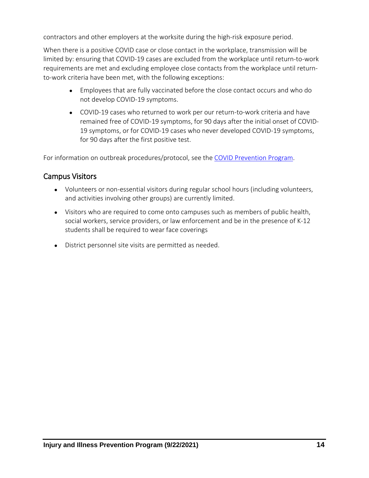contractors and other employers at the worksite during the high-risk exposure period.

When there is a positive COVID case or close contact in the workplace, transmission will be limited by: ensuring that COVID-19 cases are excluded from the workplace until return-to-work requirements are met and excluding employee close contacts from the workplace until returnto-work criteria have been met, with the following exceptions:

- Employees that are fully vaccinated before the close contact occurs and who do not develop COVID-19 symptoms.
- COVID-19 cases who returned to work per our return-to-work criteria and have remained free of COVID-19 symptoms, for 90 days after the initial onset of COVID-19 symptoms, or for COVID-19 cases who never developed COVID-19 symptoms, for 90 days after the first positive test.

For information on outbreak procedures/protocol, see th[e COVID Prevention Program.](https://www.euhsd.org/community-relations/2020-21/reopening-information/CPP-Escondido%20(Final).pdf)

#### Campus Visitors

- Volunteers or non-essential visitors during regular school hours (including volunteers, and activities involving other groups) are currently limited.
- Visitors who are required to come onto campuses such as members of public health, social workers, service providers, or law enforcement and be in the presence of K-12 students shall be required to wear face coverings
- District personnel site visits are permitted as needed.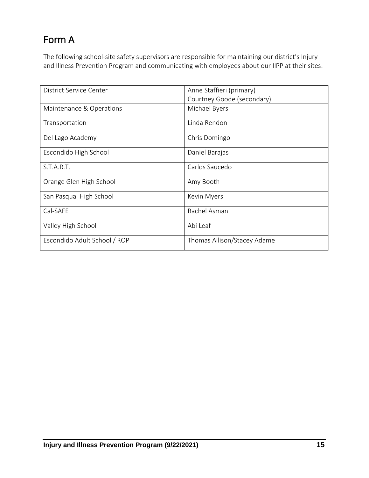# Form A

The following school-site safety supervisors are responsible for maintaining our district's Injury and Illness Prevention Program and communicating with employees about our IIPP at their sites:

| District Service Center      | Anne Staffieri (primary)    |
|------------------------------|-----------------------------|
|                              | Courtney Goode (secondary)  |
| Maintenance & Operations     | Michael Byers               |
| Transportation               | Linda Rendon                |
| Del Lago Academy             | Chris Domingo               |
| Escondido High School        | Daniel Barajas              |
| S.T.A.R.T.                   | Carlos Saucedo              |
| Orange Glen High School      | Amy Booth                   |
| San Pasqual High School      | Kevin Myers                 |
| Cal-SAFE                     | Rachel Asman                |
| Valley High School           | Abi Leaf                    |
| Escondido Adult School / ROP | Thomas Allison/Stacey Adame |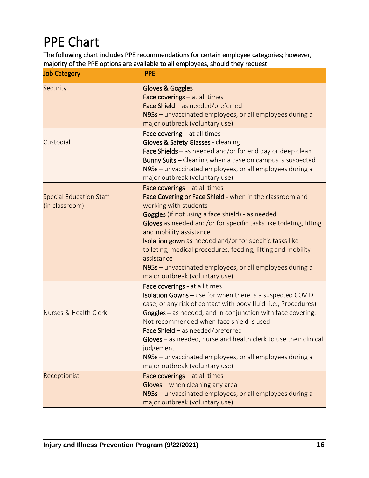<span id="page-15-0"></span>PPE Chart<br>The following chart includes PPE recommendations for certain employee categories; however, majority of the PPE options are available to all employees, should they request.

| <b>Job Category</b>                              | <b>PPE</b>                                                                                                                                                                                                                                                                                                                                                                                                                                                                                                     |
|--------------------------------------------------|----------------------------------------------------------------------------------------------------------------------------------------------------------------------------------------------------------------------------------------------------------------------------------------------------------------------------------------------------------------------------------------------------------------------------------------------------------------------------------------------------------------|
| Security                                         | <b>Gloves &amp; Goggles</b><br>Face coverings - at all times<br>Face Shield - as needed/preferred<br>N95s - unvaccinated employees, or all employees during a<br>major outbreak (voluntary use)                                                                                                                                                                                                                                                                                                                |
| Custodial                                        | Face covering $-$ at all times<br>Gloves & Safety Glasses - cleaning<br>Face Shields - as needed and/or for end day or deep clean<br>Bunny Suits - Cleaning when a case on campus is suspected<br>N95s - unvaccinated employees, or all employees during a<br>major outbreak (voluntary use)                                                                                                                                                                                                                   |
| <b>Special Education Staff</b><br>(in classroom) | Face coverings - at all times<br>Face Covering or Face Shield - when in the classroom and<br>working with students<br>Goggles (if not using a face shield) - as needed<br>Gloves as needed and/or for specific tasks like toileting, lifting<br>and mobility assistance<br>Isolation gown as needed and/or for specific tasks like<br>toileting, medical procedures, feeding, lifting and mobility<br>assistance<br>N95s - unvaccinated employees, or all employees during a<br>major outbreak (voluntary use) |
| Nurses & Health Clerk                            | Face coverings - at all times<br>Isolation Gowns - use for when there is a suspected COVID<br>case, or any risk of contact with body fluid (i.e., Procedures)<br>Goggles - as needed, and in conjunction with face covering.<br>Not recommended when face shield is used<br>Face Shield - as needed/preferred<br>Gloves – as needed, nurse and health clerk to use their clinical<br>judgement<br>N95s – unvaccinated employees, or all employees during a<br>major outbreak (voluntary use)                   |
| Receptionist                                     | Face coverings - at all times<br>Gloves - when cleaning any area<br>N95s - unvaccinated employees, or all employees during a<br>major outbreak (voluntary use)                                                                                                                                                                                                                                                                                                                                                 |